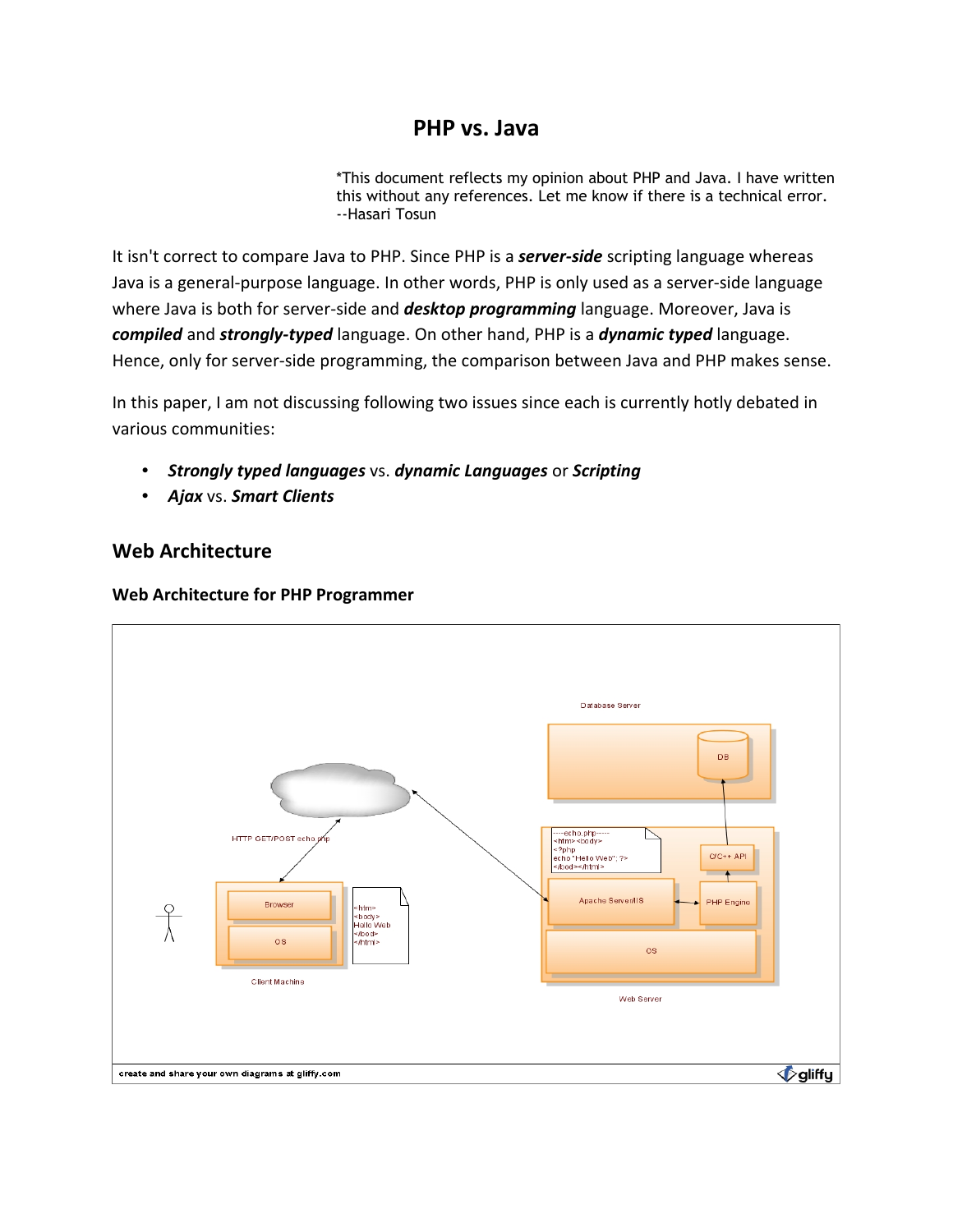## **PHP vs. Java**

\*This document reflects my opinion about PHP and Java. I have written this without any references. Let me know if there is a technical error. --Hasari Tosun

It isn't correct to compare Java to PHP. Since PHP is a *server-side* scripting language whereas Java is a general-purpose language. In other words, PHP is only used as a server-side language where Java is both for server-side and *desktop programming* language. Moreover, Java is *compiled* and *strongly-typed* language. On other hand, PHP is a *dynamic typed* language. Hence, only for server-side programming, the comparison between Java and PHP makes sense.

In this paper, I am not discussing following two issues since each is currently hotly debated in various communities:

- *Strongly typed languages* vs. *dynamic Languages* or *Scripting*
- *Ajax* vs. *Smart Clients*

## **Web Architecture**



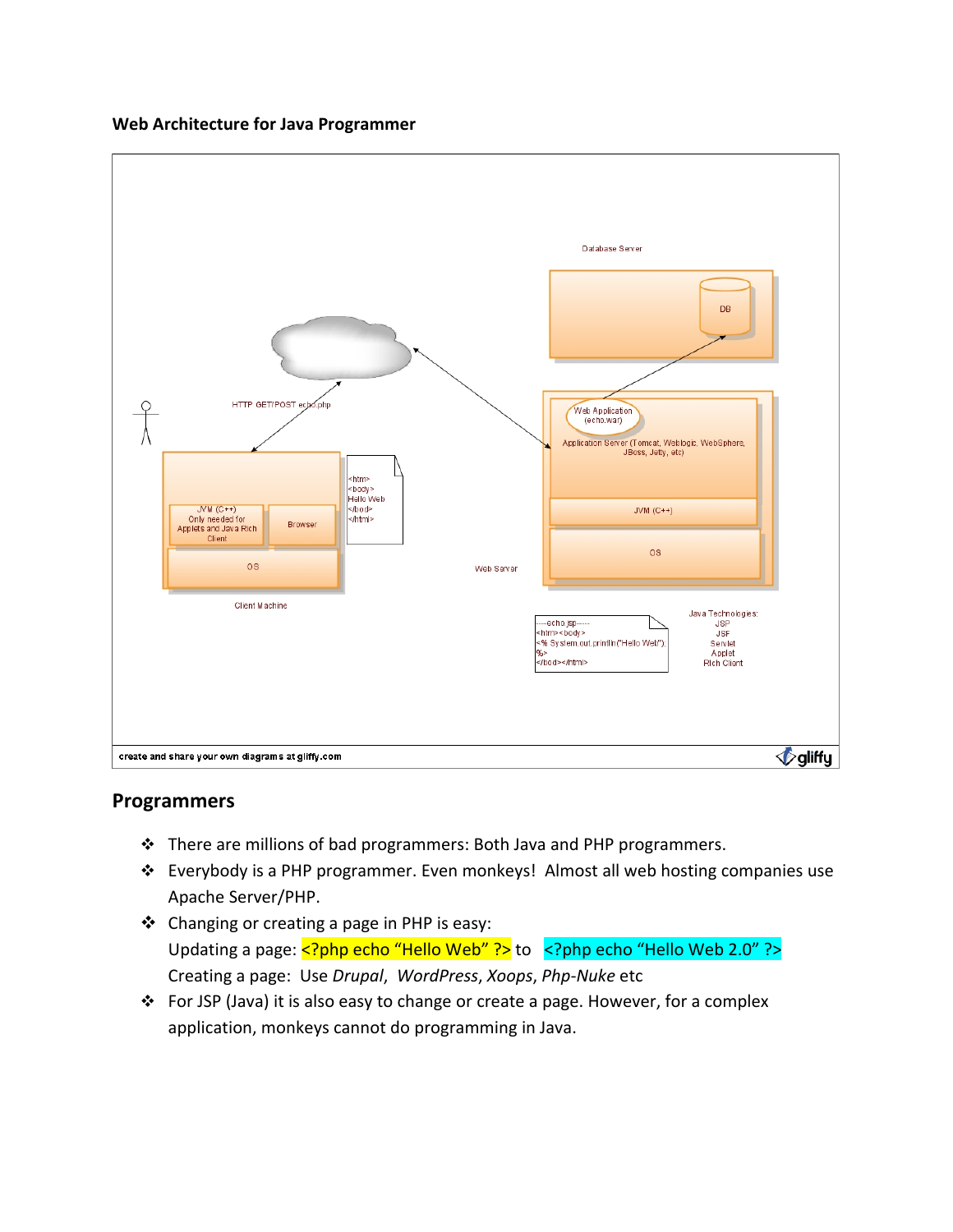**Web Architecture for Java Programmer**



### **Programmers**

- There are millions of bad programmers: Both Java and PHP programmers.
- Everybody is a PHP programmer. Even monkeys! Almost all web hosting companies use Apache Server/PHP.
- Changing or creating a page in PHP is easy: Updating a page: <?php echo "Hello Web" ?> to <?php echo "Hello Web 2.0" ?> Creating a page: Use *Drupal*, *WordPress*, *Xoops*, *Php-Nuke* etc
- For JSP (Java) it is also easy to change or create a page. However, for a complex application, monkeys cannot do programming in Java.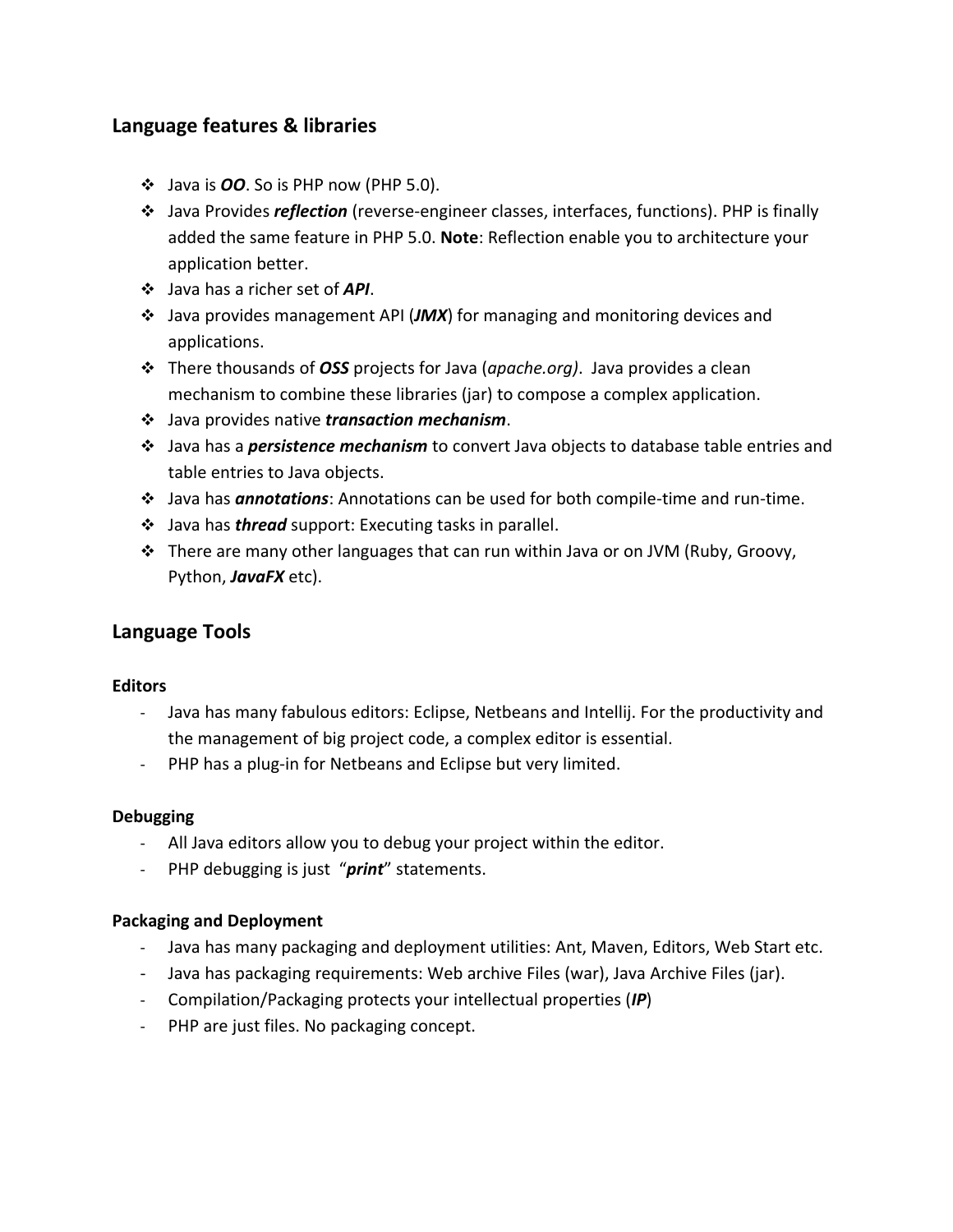## **Language features & libraries**

- Java is *OO*. So is PHP now (PHP 5.0).
- Java Provides *reflection* (reverse-engineer classes, interfaces, functions). PHP is finally added the same feature in PHP 5.0. **Note**: Reflection enable you to architecture your application better.
- Java has a richer set of *API*.
- Java provides management API (*JMX*) for managing and monitoring devices and applications.
- There thousands of *OSS* projects for Java (*apache.org)*. Java provides a clean mechanism to combine these libraries (jar) to compose a complex application.
- Java provides native *transaction mechanism*.
- Java has a *persistence mechanism* to convert Java objects to database table entries and table entries to Java objects.
- Java has *annotations*: Annotations can be used for both compile-time and run-time.
- Java has *thread* support: Executing tasks in parallel.
- $\cdot \cdot$  There are many other languages that can run within Java or on JVM (Ruby, Groovy, Python, *JavaFX* etc).

## **Language Tools**

#### **Editors**

- Java has many fabulous editors: Eclipse, Netbeans and Intellij. For the productivity and the management of big project code, a complex editor is essential.
- PHP has a plug-in for Netbeans and Eclipse but very limited.

#### **Debugging**

- All Java editors allow you to debug your project within the editor.
- PHP debugging is just "*print*" statements.

#### **Packaging and Deployment**

- Java has many packaging and deployment utilities: Ant, Maven, Editors, Web Start etc.
- Java has packaging requirements: Web archive Files (war), Java Archive Files (jar).
- Compilation/Packaging protects your intellectual properties (*IP*)
- PHP are just files. No packaging concept.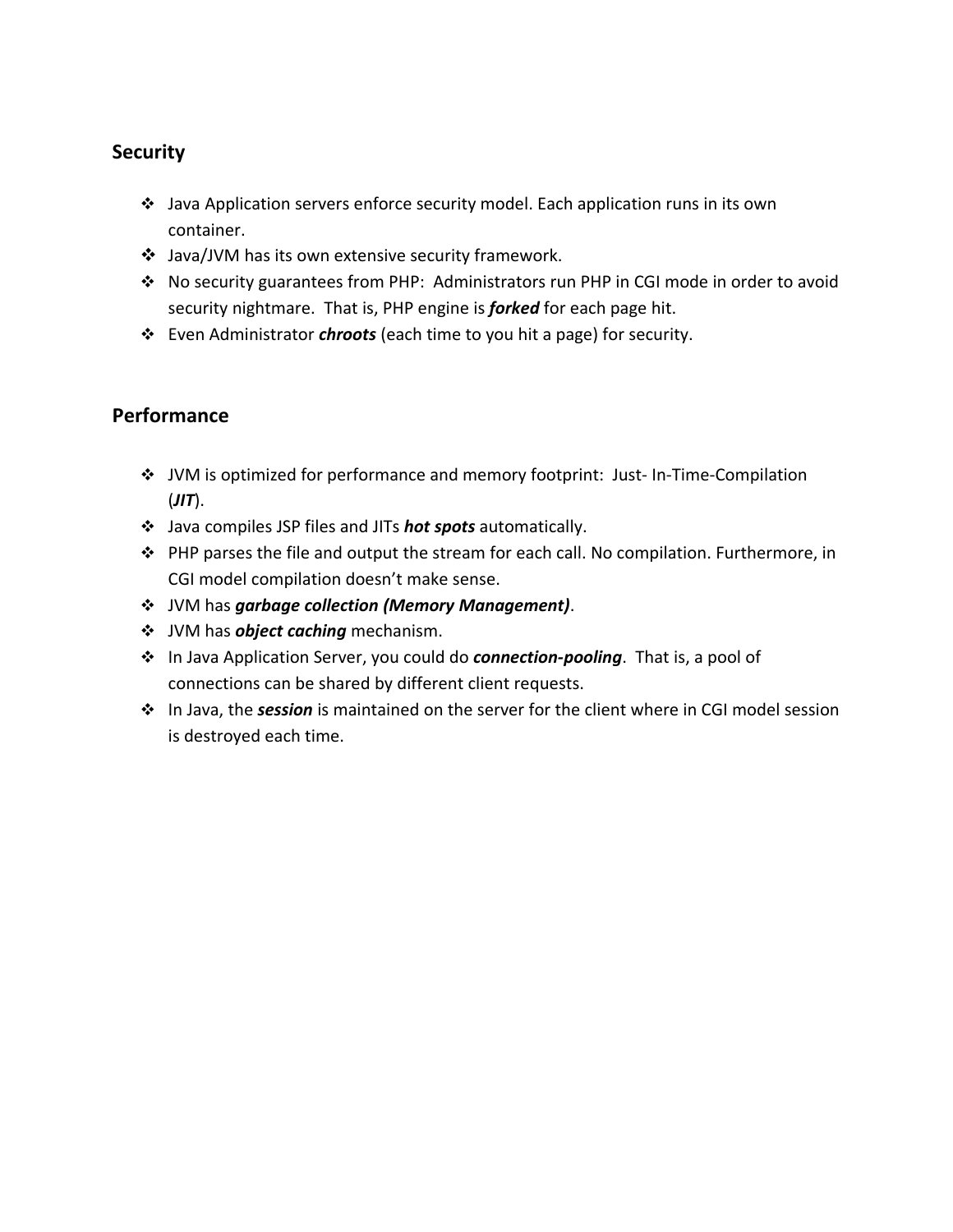## **Security**

- Java Application servers enforce security model. Each application runs in its own container.
- Java/JVM has its own extensive security framework.
- No security guarantees from PHP: Administrators run PHP in CGI mode in order to avoid security nightmare. That is, PHP engine is *forked* for each page hit.
- Even Administrator *chroots* (each time to you hit a page) for security.

## **Performance**

- JVM is optimized for performance and memory footprint: Just- In-Time-Compilation (*JIT*).
- Java compiles JSP files and JITs *hot spots* automatically.
- PHP parses the file and output the stream for each call. No compilation. Furthermore, in CGI model compilation doesn't make sense.
- JVM has *garbage collection (Memory Management)*.
- $\div$  JVM has *object caching* mechanism.
- In Java Application Server, you could do *connection-pooling*. That is, a pool of connections can be shared by different client requests.
- In Java, the *session* is maintained on the server for the client where in CGI model session is destroyed each time.